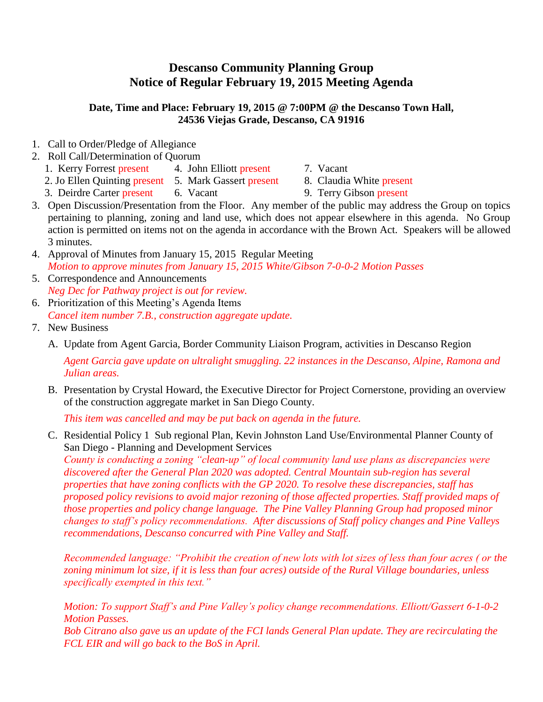## **Descanso Community Planning Group Notice of Regular February 19, 2015 Meeting Agenda**

## **Date, Time and Place: February 19, 2015 @ 7:00PM @ the Descanso Town Hall, 24536 Viejas Grade, Descanso, CA 91916**

- 1. Call to Order/Pledge of Allegiance
- 2. Roll Call/Determination of Quorum
	- 1. Kerry Forrest present 4. John Elliott present 7. Vacant
	- 2. Jo Ellen Quinting present 5. Mark Gassert present 8. Claudia White present
- -
	- 3. Deirdre Carter present 6. Vacant 9. Terry Gibson present
- 
- 3. Open Discussion/Presentation from the Floor. Any member of the public may address the Group on topics pertaining to planning, zoning and land use, which does not appear elsewhere in this agenda. No Group action is permitted on items not on the agenda in accordance with the Brown Act. Speakers will be allowed 3 minutes.
- 4. Approval of Minutes from January 15, 2015 Regular Meeting *Motion to approve minutes from January 15, 2015 White/Gibson 7-0-0-2 Motion Passes*
- 5. Correspondence and Announcements *Neg Dec for Pathway project is out for review.*
- 6. Prioritization of this Meeting's Agenda Items *Cancel item number 7.B., construction aggregate update.*
- 7. New Business
	- A. Update from Agent Garcia, Border Community Liaison Program, activities in Descanso Region

*Agent Garcia gave update on ultralight smuggling. 22 instances in the Descanso, Alpine, Ramona and Julian areas.* 

B. Presentation by Crystal Howard, the Executive Director for Project Cornerstone, providing an overview of the construction aggregate market in San Diego County.

*This item was cancelled and may be put back on agenda in the future.*

C. Residential Policy 1 Sub regional Plan, Kevin Johnston Land Use/Environmental Planner County of San Diego - Planning and Development Services

*County is conducting a zoning "clean-up" of local community land use plans as discrepancies were discovered after the General Plan 2020 was adopted. Central Mountain sub-region has several properties that have zoning conflicts with the GP 2020. To resolve these discrepancies, staff has proposed policy revisions to avoid major rezoning of those affected properties. Staff provided maps of those properties and policy change language. The Pine Valley Planning Group had proposed minor changes to staff's policy recommendations. After discussions of Staff policy changes and Pine Valleys recommendations, Descanso concurred with Pine Valley and Staff.* 

*Recommended language: "Prohibit the creation of new lots with lot sizes of less than four acres ( or the zoning minimum lot size, if it is less than four acres) outside of the Rural Village boundaries, unless specifically exempted in this text."*

*Motion: To support Staff's and Pine Valley's policy change recommendations. Elliott/Gassert 6-1-0-2 Motion Passes. Bob Citrano also gave us an update of the FCI lands General Plan update. They are recirculating the FCL EIR and will go back to the BoS in April.*